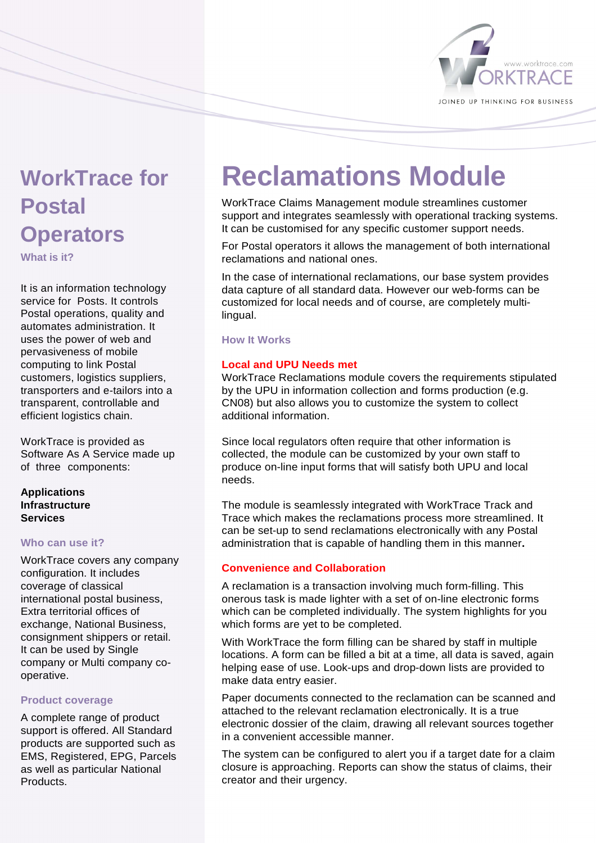

# **WorkTrace for Postal Operators**

**What is it?** 

It is an information technology service for Posts. It controls Postal operations, quality and automates administration. It uses the power of web and pervasiveness of mobile computing to link Postal customers, logistics suppliers, transporters and e-tailors into a transparent, controllable and efficient logistics chain.

WorkTrace is provided as Software As A Service made up of three components:

# **Applications Infrastructure Services**

# **Who can use it?**

WorkTrace covers any company configuration. It includes coverage of classical international postal business, Extra territorial offices of exchange, National Business, consignment shippers or retail. It can be used by Single company or Multi company cooperative.

# **Product coverage**

A complete range of product support is offered. All Standard products are supported such as EMS, Registered, EPG, Parcels as well as particular National **Products** 

# **Reclamations Module**

WorkTrace Claims Management module streamlines customer support and integrates seamlessly with operational tracking systems. It can be customised for any specific customer support needs.

For Postal operators it allows the management of both international reclamations and national ones.

In the case of international reclamations, our base system provides data capture of all standard data. However our web-forms can be customized for local needs and of course, are completely multilingual.

# **How It Works**

# **Local and UPU Needs met**

WorkTrace Reclamations module covers the requirements stipulated by the UPU in information collection and forms production (e.g. CN08) but also allows you to customize the system to collect additional information.

Since local regulators often require that other information is collected, the module can be customized by your own staff to produce on-line input forms that will satisfy both UPU and local needs.

The module is seamlessly integrated with WorkTrace Track and Trace which makes the reclamations process more streamlined. It can be set-up to send reclamations electronically with any Postal administration that is capable of handling them in this manner**.**

# **Convenience and Collaboration**

A reclamation is a transaction involving much form-filling. This onerous task is made lighter with a set of on-line electronic forms which can be completed individually. The system highlights for you which forms are yet to be completed.

With WorkTrace the form filling can be shared by staff in multiple locations. A form can be filled a bit at a time, all data is saved, again helping ease of use. Look-ups and drop-down lists are provided to make data entry easier.

Paper documents connected to the reclamation can be scanned and attached to the relevant reclamation electronically. It is a true electronic dossier of the claim, drawing all relevant sources together in a convenient accessible manner.

The system can be configured to alert you if a target date for a claim closure is approaching. Reports can show the status of claims, their creator and their urgency.